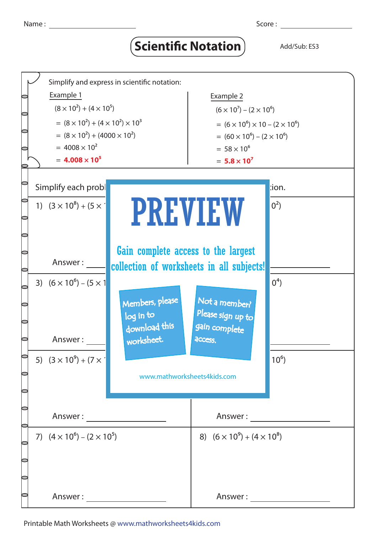## **Scientific Notation** Add/Sub: ES3



Printable Math Worksheets @ www.mathworksheets4kids.com